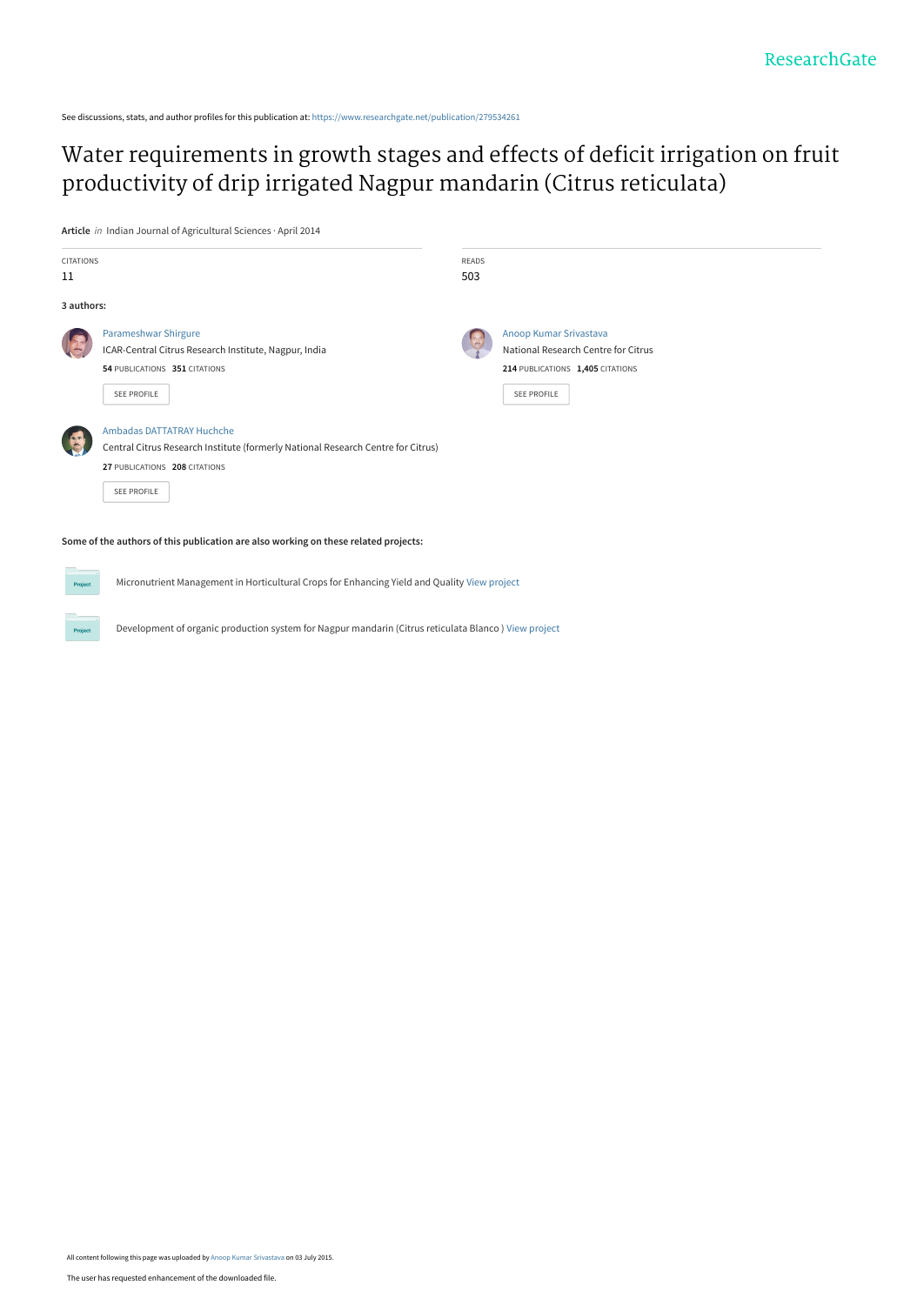See discussions, stats, and author profiles for this publication at: [https://www.researchgate.net/publication/279534261](https://www.researchgate.net/publication/279534261_Water_requirements_in_growth_stages_and_effects_of_deficit_irrigation_on_fruit_productivity_of_drip_irrigated_Nagpur_mandarin_Citrus_reticulata?enrichId=rgreq-fd8f53214135e797f1424facfbeaf373-XXX&enrichSource=Y292ZXJQYWdlOzI3OTUzNDI2MTtBUzoyNDY5OTk3ODYxOTI4OTdAMTQzNTkwMDc0NjU2OA%3D%3D&el=1_x_2&_esc=publicationCoverPdf)

[Water requirements in growth stages and effects of deficit irrigation on fruit](https://www.researchgate.net/publication/279534261_Water_requirements_in_growth_stages_and_effects_of_deficit_irrigation_on_fruit_productivity_of_drip_irrigated_Nagpur_mandarin_Citrus_reticulata?enrichId=rgreq-fd8f53214135e797f1424facfbeaf373-XXX&enrichSource=Y292ZXJQYWdlOzI3OTUzNDI2MTtBUzoyNDY5OTk3ODYxOTI4OTdAMTQzNTkwMDc0NjU2OA%3D%3D&el=1_x_3&_esc=publicationCoverPdf) productivity of drip irrigated Nagpur mandarin (Citrus reticulata)

**Article** in Indian Journal of Agricultural Sciences · April 2014

| <b>CITATIONS</b><br>11 |                                                                                                                                                                             | <b>READS</b><br>503 |                                                                                                                         |
|------------------------|-----------------------------------------------------------------------------------------------------------------------------------------------------------------------------|---------------------|-------------------------------------------------------------------------------------------------------------------------|
| 3 authors:             |                                                                                                                                                                             |                     |                                                                                                                         |
|                        | Parameshwar Shirgure<br>ICAR-Central Citrus Research Institute, Nagpur, India<br>54 PUBLICATIONS 351 CITATIONS<br><b>SEE PROFILE</b>                                        |                     | Anoop Kumar Srivastava<br>National Research Centre for Citrus<br>214 PUBLICATIONS 1,405 CITATIONS<br><b>SEE PROFILE</b> |
|                        | <b>Ambadas DATTATRAY Huchche</b><br>Central Citrus Research Institute (formerly National Research Centre for Citrus)<br>27 PUBLICATIONS 208 CITATIONS<br><b>SEE PROFILE</b> |                     |                                                                                                                         |
|                        | Some of the authors of this publication are also working on these related projects:                                                                                         |                     |                                                                                                                         |

Micronutrient Management in Horticultural Crops for Enhancing Yield and Quality [View project](https://www.researchgate.net/project/Micronutrient-Management-in-Horticultural-Crops-for-Enhancing-Yield-and-Quality?enrichId=rgreq-fd8f53214135e797f1424facfbeaf373-XXX&enrichSource=Y292ZXJQYWdlOzI3OTUzNDI2MTtBUzoyNDY5OTk3ODYxOTI4OTdAMTQzNTkwMDc0NjU2OA%3D%3D&el=1_x_9&_esc=publicationCoverPdf)

Development of organic production system for Nagpur mandarin (Citrus reticulata Blanco ) [View project](https://www.researchgate.net/project/Development-of-organic-production-system-for-Nagpur-mandarin-Citrus-reticulata-Blanco?enrichId=rgreq-fd8f53214135e797f1424facfbeaf373-XXX&enrichSource=Y292ZXJQYWdlOzI3OTUzNDI2MTtBUzoyNDY5OTk3ODYxOTI4OTdAMTQzNTkwMDc0NjU2OA%3D%3D&el=1_x_9&_esc=publicationCoverPdf)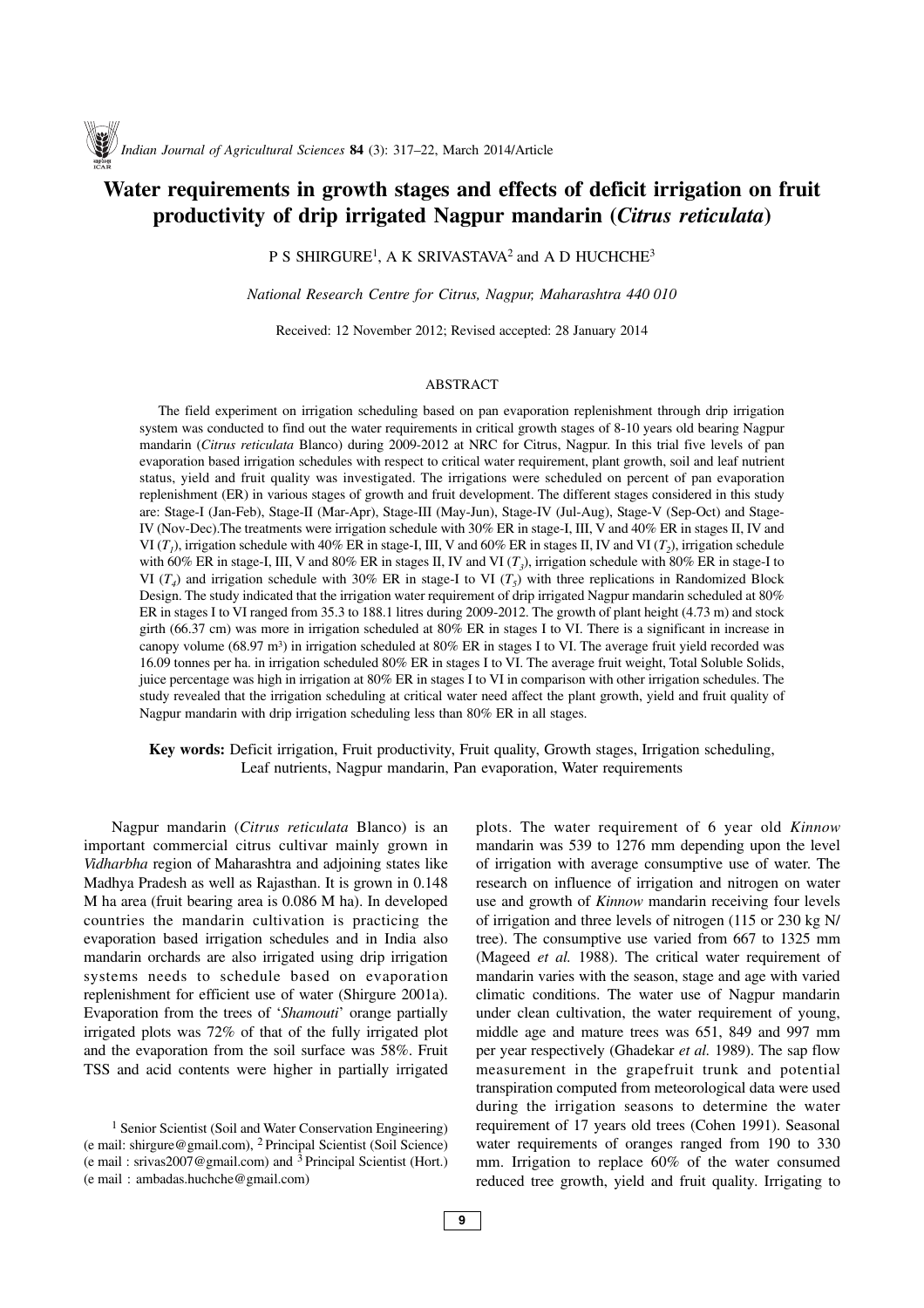# **Water requirements in growth stages and effects of deficit irrigation on fruit productivity of drip irrigated Nagpur mandarin (***Citrus reticulata***)**

P S SHIRGURE<sup>1</sup>, A K SRIVASTAVA<sup>2</sup> and A D HUCHCHE<sup>3</sup>

*National Research Centre for Citrus, Nagpur, Maharashtra 440 010*

Received: 12 November 2012; Revised accepted: 28 January 2014

#### ABSTRACT

The field experiment on irrigation scheduling based on pan evaporation replenishment through drip irrigation system was conducted to find out the water requirements in critical growth stages of 8-10 years old bearing Nagpur mandarin (*Citrus reticulata* Blanco) during 2009-2012 at NRC for Citrus, Nagpur. In this trial five levels of pan evaporation based irrigation schedules with respect to critical water requirement, plant growth, soil and leaf nutrient status, yield and fruit quality was investigated. The irrigations were scheduled on percent of pan evaporation replenishment (ER) in various stages of growth and fruit development. The different stages considered in this study are: Stage-I (Jan-Feb), Stage-II (Mar-Apr), Stage-III (May-Jun), Stage-IV (Jul-Aug), Stage-V (Sep-Oct) and Stage-IV (Nov-Dec).The treatments were irrigation schedule with 30% ER in stage-I, III, V and 40% ER in stages II, IV and VI  $(T_1)$ , irrigation schedule with 40% ER in stage-I, III, V and 60% ER in stages II, IV and VI  $(T_2)$ , irrigation schedule with 60% ER in stage-I, III, V and 80% ER in stages II, IV and VI  $(T<sub>3</sub>)$ , irrigation schedule with 80% ER in stage-I to VI ( $T<sub>4</sub>$ ) and irrigation schedule with 30% ER in stage-I to VI ( $T<sub>5</sub>$ ) with three replications in Randomized Block Design. The study indicated that the irrigation water requirement of drip irrigated Nagpur mandarin scheduled at 80% ER in stages I to VI ranged from 35.3 to 188.1 litres during 2009-2012. The growth of plant height (4.73 m) and stock girth (66.37 cm) was more in irrigation scheduled at 80% ER in stages I to VI. There is a significant in increase in canopy volume (68.97 m3) in irrigation scheduled at 80% ER in stages I to VI. The average fruit yield recorded was 16.09 tonnes per ha. in irrigation scheduled 80% ER in stages I to VI. The average fruit weight, Total Soluble Solids, juice percentage was high in irrigation at 80% ER in stages I to VI in comparison with other irrigation schedules. The study revealed that the irrigation scheduling at critical water need affect the plant growth, yield and fruit quality of Nagpur mandarin with drip irrigation scheduling less than 80% ER in all stages.

# **Key words:** Deficit irrigation, Fruit productivity, Fruit quality, Growth stages, Irrigation scheduling, Leaf nutrients, Nagpur mandarin, Pan evaporation, Water requirements

Nagpur mandarin (*Citrus reticulata* Blanco) is an important commercial citrus cultivar mainly grown in *Vidharbha* region of Maharashtra and adjoining states like Madhya Pradesh as well as Rajasthan. It is grown in 0.148 M ha area (fruit bearing area is 0.086 M ha). In developed countries the mandarin cultivation is practicing the evaporation based irrigation schedules and in India also mandarin orchards are also irrigated using drip irrigation systems needs to schedule based on evaporation replenishment for efficient use of water (Shirgure 2001a). Evaporation from the trees of '*Shamouti*' orange partially irrigated plots was 72% of that of the fully irrigated plot and the evaporation from the soil surface was 58%. Fruit TSS and acid contents were higher in partially irrigated

plots. The water requirement of 6 year old *Kinnow* mandarin was 539 to 1276 mm depending upon the level of irrigation with average consumptive use of water. The research on influence of irrigation and nitrogen on water use and growth of *Kinnow* mandarin receiving four levels of irrigation and three levels of nitrogen (115 or 230 kg N/ tree). The consumptive use varied from 667 to 1325 mm (Mageed *et al.* 1988). The critical water requirement of mandarin varies with the season, stage and age with varied climatic conditions. The water use of Nagpur mandarin under clean cultivation, the water requirement of young, middle age and mature trees was 651, 849 and 997 mm per year respectively (Ghadekar *et al.* 1989). The sap flow measurement in the grapefruit trunk and potential transpiration computed from meteorological data were used during the irrigation seasons to determine the water requirement of 17 years old trees (Cohen 1991). Seasonal water requirements of oranges ranged from 190 to 330 mm. Irrigation to replace 60% of the water consumed reduced tree growth, yield and fruit quality. Irrigating to

<sup>&</sup>lt;sup>1</sup> Senior Scientist (Soil and Water Conservation Engineering) (e mail: shirgure@gmail.com), <sup>2</sup> Principal Scientist (Soil Science) (e mail : srivas2007@gmail.com) and <sup>3</sup> Principal Scientist (Hort.) (e mail : ambadas.huchche@gmail.com)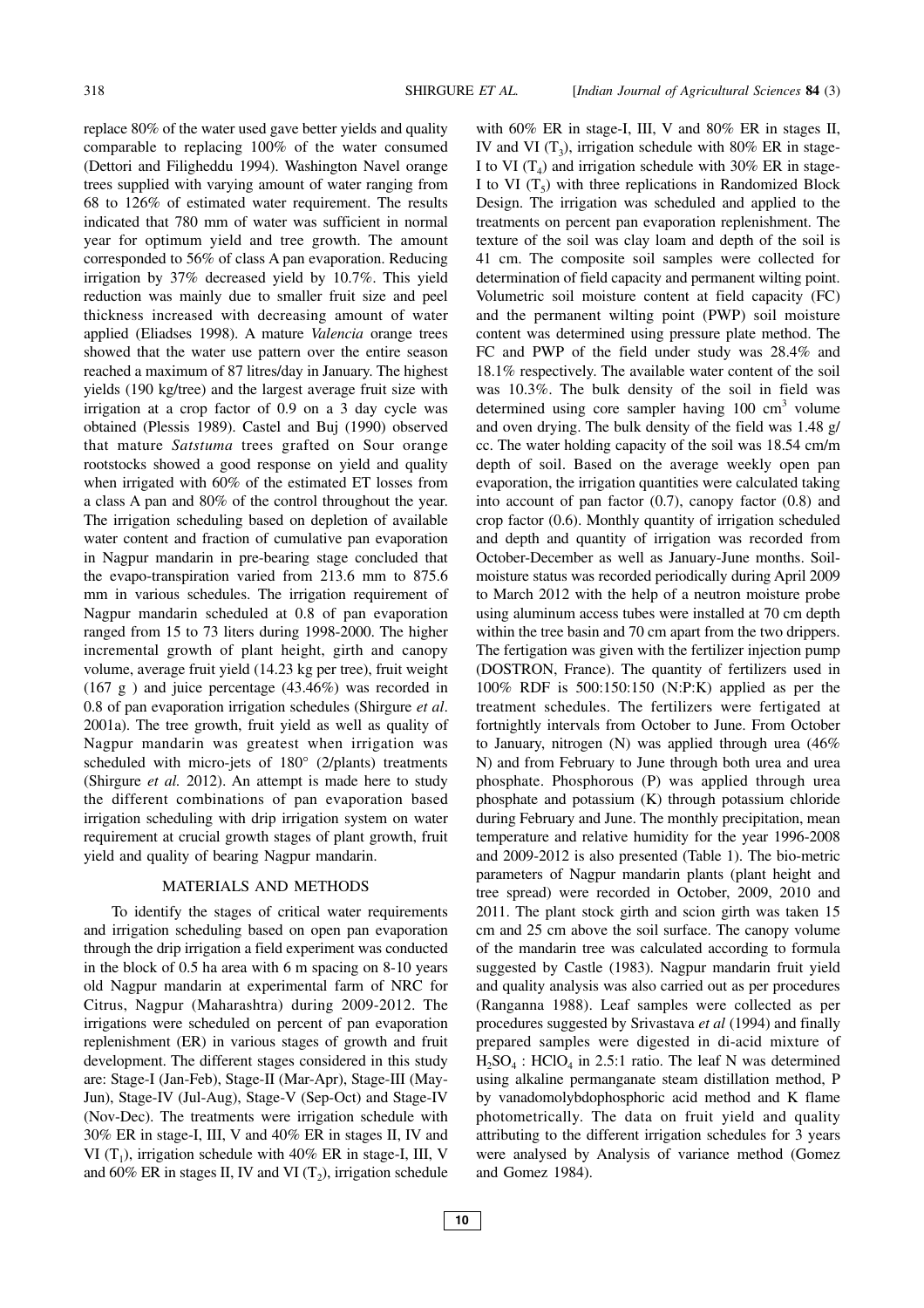replace 80% of the water used gave better yields and quality comparable to replacing 100% of the water consumed (Dettori and Filigheddu 1994). Washington Navel orange trees supplied with varying amount of water ranging from 68 to 126% of estimated water requirement. The results indicated that 780 mm of water was sufficient in normal year for optimum yield and tree growth. The amount corresponded to 56% of class A pan evaporation. Reducing irrigation by 37% decreased yield by 10.7%. This yield reduction was mainly due to smaller fruit size and peel thickness increased with decreasing amount of water applied (Eliadses 1998). A mature *Valencia* orange trees showed that the water use pattern over the entire season reached a maximum of 87 litres/day in January. The highest yields (190 kg/tree) and the largest average fruit size with irrigation at a crop factor of 0.9 on a 3 day cycle was obtained (Plessis 1989). Castel and Buj (1990) observed that mature *Satstuma* trees grafted on Sour orange rootstocks showed a good response on yield and quality when irrigated with 60% of the estimated ET losses from a class A pan and 80% of the control throughout the year. The irrigation scheduling based on depletion of available water content and fraction of cumulative pan evaporation in Nagpur mandarin in pre-bearing stage concluded that the evapo-transpiration varied from 213.6 mm to 875.6 mm in various schedules. The irrigation requirement of Nagpur mandarin scheduled at 0.8 of pan evaporation ranged from 15 to 73 liters during 1998-2000. The higher incremental growth of plant height, girth and canopy volume, average fruit yield (14.23 kg per tree), fruit weight (167 g ) and juice percentage (43.46%) was recorded in 0.8 of pan evaporation irrigation schedules (Shirgure *et al*. 2001a). The tree growth, fruit yield as well as quality of Nagpur mandarin was greatest when irrigation was scheduled with micro-jets of 180° (2/plants) treatments (Shirgure *et al.* 2012). An attempt is made here to study the different combinations of pan evaporation based irrigation scheduling with drip irrigation system on water requirement at crucial growth stages of plant growth, fruit yield and quality of bearing Nagpur mandarin.

#### MATERIALS AND METHODS

To identify the stages of critical water requirements and irrigation scheduling based on open pan evaporation through the drip irrigation a field experiment was conducted in the block of 0.5 ha area with 6 m spacing on 8-10 years old Nagpur mandarin at experimental farm of NRC for Citrus, Nagpur (Maharashtra) during 2009-2012. The irrigations were scheduled on percent of pan evaporation replenishment (ER) in various stages of growth and fruit development. The different stages considered in this study are: Stage-I (Jan-Feb), Stage-II (Mar-Apr), Stage-III (May-Jun), Stage-IV (Jul-Aug), Stage-V (Sep-Oct) and Stage-IV (Nov-Dec). The treatments were irrigation schedule with 30% ER in stage-I, III, V and 40% ER in stages II, IV and VI ( $T_1$ ), irrigation schedule with 40% ER in stage-I, III, V and 60% ER in stages II, IV and VI  $(T_2)$ , irrigation schedule with 60% ER in stage-I, III, V and 80% ER in stages II, IV and VI  $(T_3)$ , irrigation schedule with 80% ER in stage-I to VI  $(T_4)$  and irrigation schedule with 30% ER in stage-I to VI  $(T_5)$  with three replications in Randomized Block Design. The irrigation was scheduled and applied to the treatments on percent pan evaporation replenishment. The texture of the soil was clay loam and depth of the soil is 41 cm. The composite soil samples were collected for determination of field capacity and permanent wilting point. Volumetric soil moisture content at field capacity (FC) and the permanent wilting point (PWP) soil moisture content was determined using pressure plate method. The FC and PWP of the field under study was 28.4% and 18.1% respectively. The available water content of the soil was 10.3%. The bulk density of the soil in field was determined using core sampler having 100 cm<sup>3</sup> volume and oven drying. The bulk density of the field was 1.48 g/ cc. The water holding capacity of the soil was 18.54 cm/m depth of soil. Based on the average weekly open pan evaporation, the irrigation quantities were calculated taking into account of pan factor (0.7), canopy factor (0.8) and crop factor (0.6). Monthly quantity of irrigation scheduled and depth and quantity of irrigation was recorded from October-December as well as January-June months. Soilmoisture status was recorded periodically during April 2009 to March 2012 with the help of a neutron moisture probe using aluminum access tubes were installed at 70 cm depth within the tree basin and 70 cm apart from the two drippers. The fertigation was given with the fertilizer injection pump (DOSTRON, France). The quantity of fertilizers used in 100% RDF is 500:150:150 (N:P:K) applied as per the treatment schedules. The fertilizers were fertigated at fortnightly intervals from October to June. From October to January, nitrogen (N) was applied through urea (46% N) and from February to June through both urea and urea phosphate. Phosphorous (P) was applied through urea phosphate and potassium (K) through potassium chloride during February and June. The monthly precipitation, mean temperature and relative humidity for the year 1996-2008 and 2009-2012 is also presented (Table 1). The bio-metric parameters of Nagpur mandarin plants (plant height and tree spread) were recorded in October, 2009, 2010 and 2011. The plant stock girth and scion girth was taken 15 cm and 25 cm above the soil surface. The canopy volume of the mandarin tree was calculated according to formula suggested by Castle (1983). Nagpur mandarin fruit yield and quality analysis was also carried out as per procedures (Ranganna 1988). Leaf samples were collected as per procedures suggested by Srivastava *et al* (1994) and finally prepared samples were digested in di-acid mixture of  $H_2SO_4$ : HClO<sub>4</sub> in 2.5:1 ratio. The leaf N was determined using alkaline permanganate steam distillation method, P by vanadomolybdophosphoric acid method and K flame photometrically. The data on fruit yield and quality attributing to the different irrigation schedules for 3 years were analysed by Analysis of variance method (Gomez and Gomez 1984).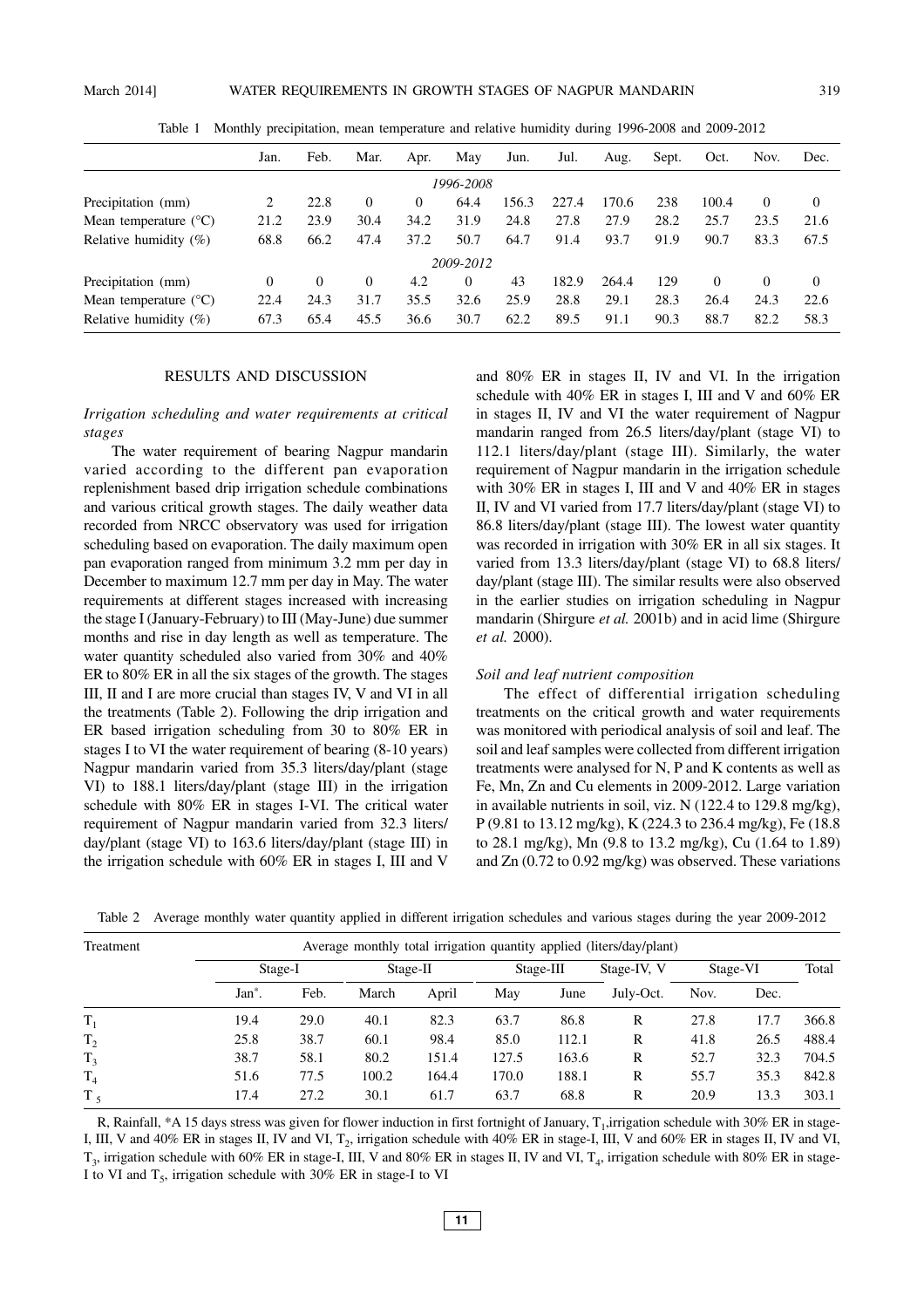|                                | Jan. | Feb.     | Mar. | Apr. | May       | Jun.  | Jul.  | Aug.  | Sept. | Oct.     | Nov.     | Dec.     |
|--------------------------------|------|----------|------|------|-----------|-------|-------|-------|-------|----------|----------|----------|
|                                |      |          |      |      | 1996-2008 |       |       |       |       |          |          |          |
| Precipitation (mm)             | 2    | 22.8     | 0    | 0    | 64.4      | 156.3 | 227.4 | 170.6 | 238   | 100.4    | 0        | 0        |
| Mean temperature $(^{\circ}C)$ | 21.2 | 23.9     | 30.4 | 34.2 | 31.9      | 24.8  | 27.8  | 27.9  | 28.2  | 25.7     | 23.5     | 21.6     |
| Relative humidity $(\%)$       | 68.8 | 66.2     | 47.4 | 37.2 | 50.7      | 64.7  | 91.4  | 93.7  | 91.9  | 90.7     | 83.3     | 67.5     |
|                                |      |          |      |      | 2009-2012 |       |       |       |       |          |          |          |
| Precipitation (mm)             | 0    | $\Omega$ | 0    | 4.2  | 0         | 43    | 182.9 | 264.4 | 129   | $\Omega$ | $\Omega$ | $\Omega$ |
| Mean temperature $(^{\circ}C)$ | 22.4 | 24.3     | 31.7 | 35.5 | 32.6      | 25.9  | 28.8  | 29.1  | 28.3  | 26.4     | 24.3     | 22.6     |
| Relative humidity $(\%)$       | 67.3 | 65.4     | 45.5 | 36.6 | 30.7      | 62.2  | 89.5  | 91.1  | 90.3  | 88.7     | 82.2     | 58.3     |

Table 1 Monthly precipitation, mean temperature and relative humidity during 1996-2008 and 2009-2012

#### RESULTS AND DISCUSSION

## *Irrigation scheduling and water requirements at critical stages*

The water requirement of bearing Nagpur mandarin varied according to the different pan evaporation replenishment based drip irrigation schedule combinations and various critical growth stages. The daily weather data recorded from NRCC observatory was used for irrigation scheduling based on evaporation. The daily maximum open pan evaporation ranged from minimum 3.2 mm per day in December to maximum 12.7 mm per day in May. The water requirements at different stages increased with increasing the stage I (January-February) to III (May-June) due summer months and rise in day length as well as temperature. The water quantity scheduled also varied from 30% and 40% ER to 80% ER in all the six stages of the growth. The stages III, II and I are more crucial than stages IV, V and VI in all the treatments (Table 2). Following the drip irrigation and ER based irrigation scheduling from 30 to 80% ER in stages I to VI the water requirement of bearing (8-10 years) Nagpur mandarin varied from 35.3 liters/day/plant (stage VI) to 188.1 liters/day/plant (stage III) in the irrigation schedule with 80% ER in stages I-VI. The critical water requirement of Nagpur mandarin varied from 32.3 liters/ day/plant (stage VI) to 163.6 liters/day/plant (stage III) in the irrigation schedule with 60% ER in stages I, III and V

and 80% ER in stages II, IV and VI. In the irrigation schedule with 40% ER in stages I, III and V and 60% ER in stages II, IV and VI the water requirement of Nagpur mandarin ranged from 26.5 liters/day/plant (stage VI) to 112.1 liters/day/plant (stage III). Similarly, the water requirement of Nagpur mandarin in the irrigation schedule with 30% ER in stages I, III and V and 40% ER in stages II, IV and VI varied from 17.7 liters/day/plant (stage VI) to 86.8 liters/day/plant (stage III). The lowest water quantity was recorded in irrigation with 30% ER in all six stages. It varied from 13.3 liters/day/plant (stage VI) to 68.8 liters/ day/plant (stage III). The similar results were also observed in the earlier studies on irrigation scheduling in Nagpur mandarin (Shirgure *et al.* 2001b) and in acid lime (Shirgure *et al.* 2000).

### *Soil and leaf nutrient composition*

The effect of differential irrigation scheduling treatments on the critical growth and water requirements was monitored with periodical analysis of soil and leaf. The soil and leaf samples were collected from different irrigation treatments were analysed for N, P and K contents as well as Fe, Mn, Zn and Cu elements in 2009-2012. Large variation in available nutrients in soil, viz. N (122.4 to 129.8 mg/kg), P (9.81 to 13.12 mg/kg), K (224.3 to 236.4 mg/kg), Fe (18.8 to 28.1 mg/kg), Mn (9.8 to 13.2 mg/kg), Cu (1.64 to 1.89) and Zn (0.72 to 0.92 mg/kg) was observed. These variations

|  |  |  | Table 2 Average monthly water quantity applied in different irrigation schedules and various stages during the year 2009-2012 |  |  |
|--|--|--|-------------------------------------------------------------------------------------------------------------------------------|--|--|
|--|--|--|-------------------------------------------------------------------------------------------------------------------------------|--|--|

| Treatment      |                    |      |          |       |           |       | Average monthly total irrigation quantity applied (liters/day/plant) |          |      |       |
|----------------|--------------------|------|----------|-------|-----------|-------|----------------------------------------------------------------------|----------|------|-------|
|                | Stage-I            |      | Stage-II |       | Stage-III |       | Stage-IV, V                                                          | Stage-VI |      | Total |
|                | Jan <sup>*</sup> . | Feb. | March    | April | May       | June  | July-Oct.                                                            | Nov.     | Dec. |       |
| $T_1$          | 19.4               | 29.0 | 40.1     | 82.3  | 63.7      | 86.8  | R                                                                    | 27.8     | 17.7 | 366.8 |
| T <sub>2</sub> | 25.8               | 38.7 | 60.1     | 98.4  | 85.0      | 112.1 | R                                                                    | 41.8     | 26.5 | 488.4 |
| T <sub>3</sub> | 38.7               | 58.1 | 80.2     | 151.4 | 127.5     | 163.6 | R                                                                    | 52.7     | 32.3 | 704.5 |
| T <sub>4</sub> | 51.6               | 77.5 | 100.2    | 164.4 | 170.0     | 188.1 | R                                                                    | 55.7     | 35.3 | 842.8 |
| T <sub>5</sub> | 17.4               | 27.2 | 30.1     | 61.7  | 63.7      | 68.8  | R                                                                    | 20.9     | 13.3 | 303.1 |

R, Rainfall, \*A 15 days stress was given for flower induction in first fortnight of January, T<sub>1</sub>, irrigation schedule with 30% ER in stage-I, III, V and 40% ER in stages II, IV and VI,  $T_2$ , irrigation schedule with 40% ER in stage-I, III, V and 60% ER in stages II, IV and VI,  $T_3$ , irrigation schedule with 60% ER in stage-I, III, V and 80% ER in stages II, IV and VI,  $T_4$ , irrigation schedule with 80% ER in stage-I to VI and  $T_5$ , irrigation schedule with 30% ER in stage-I to VI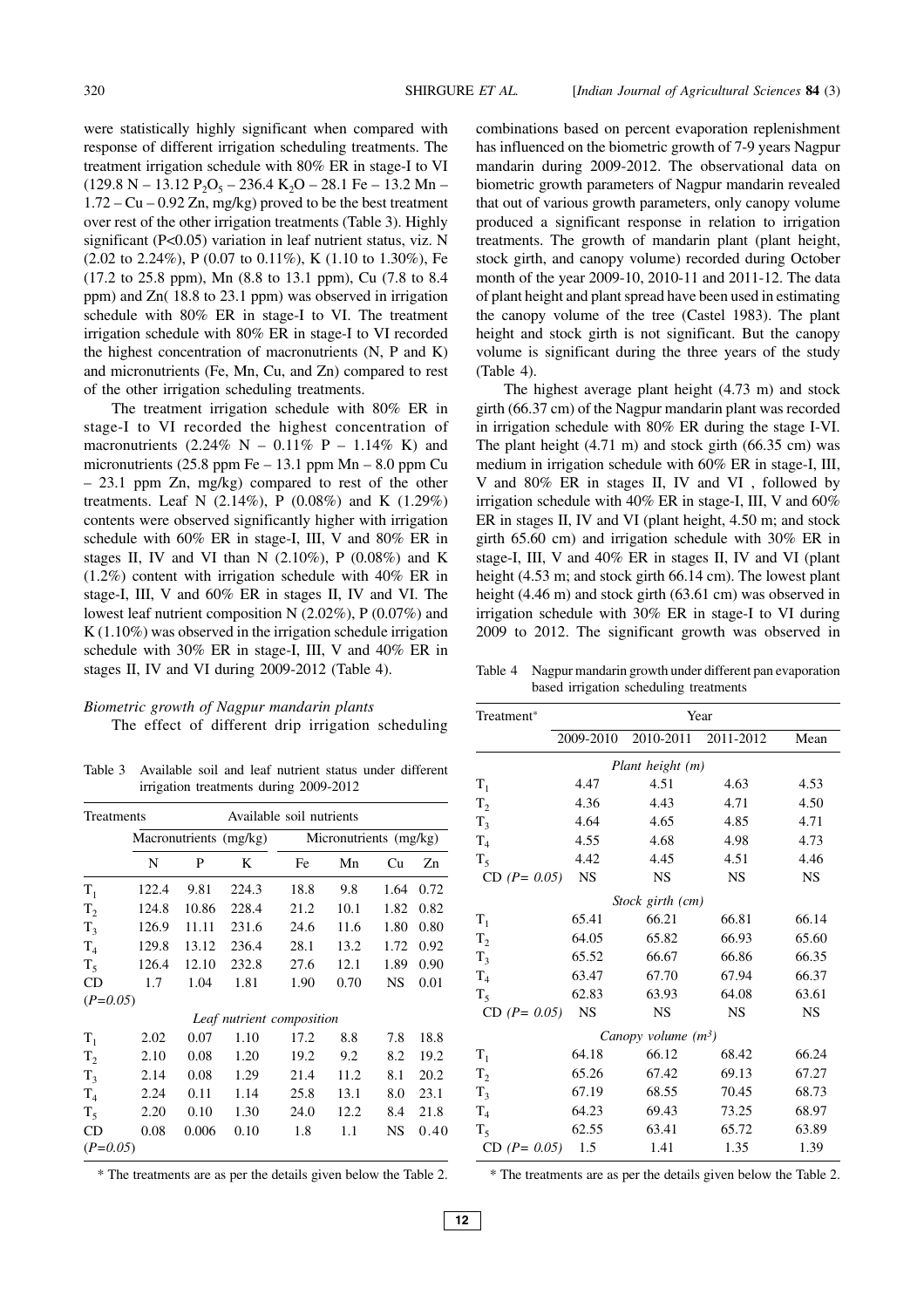were statistically highly significant when compared with response of different irrigation scheduling treatments. The treatment irrigation schedule with 80% ER in stage-I to VI  $(129.8 \text{ N} - 13.12 \text{ P}_2\text{O}_5 - 236.4 \text{ K}_2\text{O} - 28.1 \text{ Fe} - 13.2 \text{ Mn} 1.72 - Cu - 0.92 Zn$ , mg/kg) proved to be the best treatment over rest of the other irrigation treatments (Table 3). Highly significant (P<0.05) variation in leaf nutrient status, viz. N  $(2.02 \text{ to } 2.24\%), P (0.07 \text{ to } 0.11\%), K (1.10 \text{ to } 1.30\%), Fe$ (17.2 to 25.8 ppm), Mn (8.8 to 13.1 ppm), Cu (7.8 to 8.4 ppm) and Zn( 18.8 to 23.1 ppm) was observed in irrigation schedule with 80% ER in stage-I to VI. The treatment irrigation schedule with 80% ER in stage-I to VI recorded the highest concentration of macronutrients (N, P and K) and micronutrients (Fe, Mn, Cu, and Zn) compared to rest of the other irrigation scheduling treatments.

The treatment irrigation schedule with 80% ER in stage-I to VI recorded the highest concentration of macronutrients (2.24% N – 0.11% P – 1.14% K) and micronutrients  $(25.8$  ppm Fe – 13.1 ppm Mn – 8.0 ppm Cu – 23.1 ppm Zn, mg/kg) compared to rest of the other treatments. Leaf N (2.14%), P (0.08%) and K (1.29%) contents were observed significantly higher with irrigation schedule with 60% ER in stage-I, III, V and 80% ER in stages II, IV and VI than N  $(2.10\%)$ , P  $(0.08\%)$  and K (1.2%) content with irrigation schedule with 40% ER in stage-I, III, V and 60% ER in stages II, IV and VI. The lowest leaf nutrient composition N (2.02%), P (0.07%) and K (1.10%) was observed in the irrigation schedule irrigation schedule with 30% ER in stage-I, III, V and 40% ER in stages II, IV and VI during 2009-2012 (Table 4).

# *Biometric growth of Nagpur mandarin plants*

The effect of different drip irrigation scheduling

Table 3 Available soil and leaf nutrient status under different irrigation treatments during 2009-2012

| Treatments     |       |       | Available soil nutrients |                           |      |           |      |  |  |
|----------------|-------|-------|--------------------------|---------------------------|------|-----------|------|--|--|
|                |       |       | Macronutrients (mg/kg)   | Micronutrients (mg/kg)    |      |           |      |  |  |
|                | N     | P     | K                        | Fe                        | Mn   | Cu        | Zn   |  |  |
| $T_1$          | 122.4 | 9.81  | 224.3                    | 18.8                      | 9.8  | 1.64      | 0.72 |  |  |
| T <sub>2</sub> | 124.8 | 10.86 | 228.4                    | 21.2                      | 10.1 | 1.82      | 0.82 |  |  |
| $T_3$          | 126.9 | 11.11 | 231.6                    | 24.6                      | 11.6 | 1.80      | 0.80 |  |  |
| $T_4$          | 129.8 | 13.12 | 236.4                    | 28.1                      | 13.2 | 1.72      | 0.92 |  |  |
| $T_5$          | 126.4 | 12.10 | 232.8                    | 27.6                      | 12.1 | 1.89      | 0.90 |  |  |
| CD             | 1.7   | 1.04  | 1.81                     | 1.90                      | 0.70 | NS        | 0.01 |  |  |
| $(P=0.05)$     |       |       |                          |                           |      |           |      |  |  |
|                |       |       |                          | Leaf nutrient composition |      |           |      |  |  |
| $T_1$          | 2.02  | 0.07  | 1.10                     | 17.2                      | 8.8  | 7.8       | 18.8 |  |  |
| T <sub>2</sub> | 2.10  | 0.08  | 1.20                     | 19.2                      | 9.2  | 8.2       | 19.2 |  |  |
| $T_{3}$        | 2.14  | 0.08  | 1.29                     | 21.4                      | 11.2 | 8.1       | 20.2 |  |  |
| $T_{4}$        | 2.24  | 0.11  | 1.14                     | 25.8                      | 13.1 | 8.0       | 23.1 |  |  |
| $T_{\rm S}$    | 2.20  | 0.10  | 1.30                     | 24.0                      | 12.2 | 8.4       | 21.8 |  |  |
| CD             | 0.08  | 0.006 | 0.10                     | 1.8                       | 1.1  | <b>NS</b> | 0.40 |  |  |
| $(P=0.05)$     |       |       |                          |                           |      |           |      |  |  |

\* The treatments are as per the details given below the Table 2.

combinations based on percent evaporation replenishment has influenced on the biometric growth of 7-9 years Nagpur mandarin during 2009-2012. The observational data on biometric growth parameters of Nagpur mandarin revealed that out of various growth parameters, only canopy volume produced a significant response in relation to irrigation treatments. The growth of mandarin plant (plant height, stock girth, and canopy volume) recorded during October month of the year 2009-10, 2010-11 and 2011-12. The data of plant height and plant spread have been used in estimating the canopy volume of the tree (Castel 1983). The plant height and stock girth is not significant. But the canopy volume is significant during the three years of the study (Table 4).

The highest average plant height (4.73 m) and stock girth (66.37 cm) of the Nagpur mandarin plant was recorded in irrigation schedule with 80% ER during the stage I-VI. The plant height (4.71 m) and stock girth (66.35 cm) was medium in irrigation schedule with 60% ER in stage-I, III, V and 80% ER in stages II, IV and VI , followed by irrigation schedule with 40% ER in stage-I, III, V and 60% ER in stages II, IV and VI (plant height, 4.50 m; and stock girth 65.60 cm) and irrigation schedule with 30% ER in stage-I, III, V and 40% ER in stages II, IV and VI (plant height (4.53 m; and stock girth 66.14 cm). The lowest plant height (4.46 m) and stock girth (63.61 cm) was observed in irrigation schedule with 30% ER in stage-I to VI during 2009 to 2012. The significant growth was observed in

Table 4 Nagpur mandarin growth under different pan evaporation based irrigation scheduling treatments

| Treatment <sup>*</sup> |           |                       | Year      |           |
|------------------------|-----------|-----------------------|-----------|-----------|
|                        | 2009-2010 | 2010-2011             | 2011-2012 | Mean      |
|                        |           | Plant height (m)      |           |           |
| $T_{1}$                | 4.47      | 4.51                  | 4.63      | 4.53      |
| $T_{2}$                | 4.36      | 4.43                  | 4.71      | 4.50      |
| $T_3$                  | 4.64      | 4.65                  | 4.85      | 4.71      |
| T <sub>4</sub>         | 4.55      | 4.68                  | 4.98      | 4.73      |
| $T_5$                  | 4.42      | 4.45                  | 4.51      | 4.46      |
| $CD (P = 0.05)$        | <b>NS</b> | <b>NS</b>             | <b>NS</b> | <b>NS</b> |
|                        |           | Stock girth (cm)      |           |           |
| $T_{1}$                | 65.41     | 66.21                 | 66.81     | 66.14     |
| T <sub>2</sub>         | 64.05     | 65.82                 | 66.93     | 65.60     |
| $T_3$                  | 65.52     | 66.67                 | 66.86     | 66.35     |
| T <sub>4</sub>         | 63.47     | 67.70                 | 67.94     | 66.37     |
| $T_5$                  | 62.83     | 63.93                 | 64.08     | 63.61     |
| $CD (P = 0.05)$        | <b>NS</b> | <b>NS</b>             | <b>NS</b> | <b>NS</b> |
|                        |           | Canopy volume $(m^3)$ |           |           |
| $T_1$                  | 64.18     | 66.12                 | 68.42     | 66.24     |
| T <sub>2</sub>         | 65.26     | 67.42                 | 69.13     | 67.27     |
| $T_3$                  | 67.19     | 68.55                 | 70.45     | 68.73     |
| $T_{4}$                | 64.23     | 69.43                 | 73.25     | 68.97     |
| $T_5$                  | 62.55     | 63.41                 | 65.72     | 63.89     |
| $CD (P = 0.05)$        | 1.5       | 1.41                  | 1.35      | 1.39      |

\* The treatments are as per the details given below the Table 2.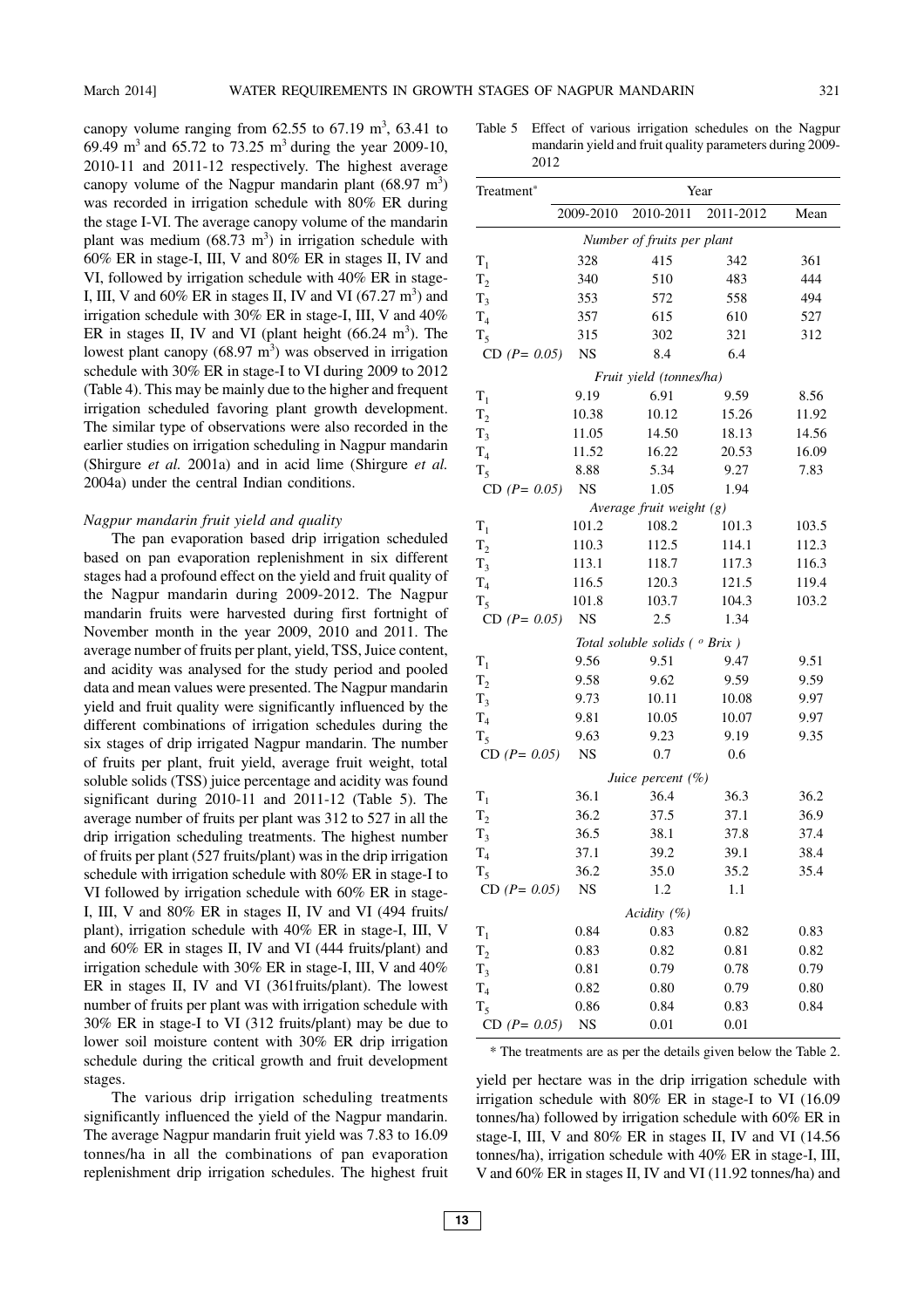canopy volume ranging from  $62.55$  to  $67.19$  m<sup>3</sup>,  $63.41$  to 69.49 m<sup>3</sup> and 65.72 to 73.25 m<sup>3</sup> during the year 2009-10, 2010-11 and 2011-12 respectively. The highest average canopy volume of the Nagpur mandarin plant  $(68.97 \text{ m}^3)$ was recorded in irrigation schedule with 80% ER during the stage I-VI. The average canopy volume of the mandarin plant was medium  $(68.73 \text{ m}^3)$  in irrigation schedule with 60% ER in stage-I, III, V and 80% ER in stages II, IV and VI, followed by irrigation schedule with 40% ER in stage-I, III, V and  $60\%$  ER in stages II, IV and VI  $(67.27 \text{ m}^3)$  and irrigation schedule with 30% ER in stage-I, III, V and 40% ER in stages II, IV and VI (plant height  $(66.24 \text{ m}^3)$ ). The lowest plant canopy  $(68.97 \text{ m}^3)$  was observed in irrigation schedule with 30% ER in stage-I to VI during 2009 to 2012 (Table 4). This may be mainly due to the higher and frequent irrigation scheduled favoring plant growth development. The similar type of observations were also recorded in the earlier studies on irrigation scheduling in Nagpur mandarin (Shirgure *et al.* 2001a) and in acid lime (Shirgure *et al.* 2004a) under the central Indian conditions.

#### *Nagpur mandarin fruit yield and quality*

The pan evaporation based drip irrigation scheduled based on pan evaporation replenishment in six different stages had a profound effect on the yield and fruit quality of the Nagpur mandarin during 2009-2012. The Nagpur mandarin fruits were harvested during first fortnight of November month in the year 2009, 2010 and 2011. The average number of fruits per plant, yield, TSS, Juice content, and acidity was analysed for the study period and pooled data and mean values were presented. The Nagpur mandarin yield and fruit quality were significantly influenced by the different combinations of irrigation schedules during the six stages of drip irrigated Nagpur mandarin. The number of fruits per plant, fruit yield, average fruit weight, total soluble solids (TSS) juice percentage and acidity was found significant during 2010-11 and 2011-12 (Table 5). The average number of fruits per plant was 312 to 527 in all the drip irrigation scheduling treatments. The highest number of fruits per plant (527 fruits/plant) was in the drip irrigation schedule with irrigation schedule with 80% ER in stage-I to VI followed by irrigation schedule with 60% ER in stage-I, III, V and 80% ER in stages II, IV and VI (494 fruits/ plant), irrigation schedule with 40% ER in stage-I, III, V and 60% ER in stages II, IV and VI (444 fruits/plant) and irrigation schedule with 30% ER in stage-I, III, V and 40% ER in stages II, IV and VI (361fruits/plant). The lowest number of fruits per plant was with irrigation schedule with 30% ER in stage-I to VI (312 fruits/plant) may be due to lower soil moisture content with 30% ER drip irrigation schedule during the critical growth and fruit development stages.

The various drip irrigation scheduling treatments significantly influenced the yield of the Nagpur mandarin. The average Nagpur mandarin fruit yield was 7.83 to 16.09 tonnes/ha in all the combinations of pan evaporation replenishment drip irrigation schedules. The highest fruit

Table 5 Effect of various irrigation schedules on the Nagpur mandarin yield and fruit quality parameters during 2009- 2012

| Treatment <sup>*</sup> | Year                       |                                          |           |       |  |  |  |  |  |
|------------------------|----------------------------|------------------------------------------|-----------|-------|--|--|--|--|--|
|                        | 2009-2010                  | 2010-2011                                | 2011-2012 | Mean  |  |  |  |  |  |
|                        | Number of fruits per plant |                                          |           |       |  |  |  |  |  |
| $T_1$                  | 328                        | 415                                      | 342       | 361   |  |  |  |  |  |
| T <sub>2</sub>         | 340                        | 510                                      | 483       | 444   |  |  |  |  |  |
| $T_3$                  | 353                        | 572                                      | 558       | 494   |  |  |  |  |  |
| T <sub>4</sub>         | 357                        | 615                                      | 610       | 527   |  |  |  |  |  |
| $T_5$                  | 315                        | 302                                      | 321       | 312   |  |  |  |  |  |
| $CD (P = 0.05)$        | <b>NS</b>                  | 8.4                                      | 6.4       |       |  |  |  |  |  |
|                        |                            | Fruit yield (tonnes/ha)                  |           |       |  |  |  |  |  |
| $T_1$                  | 9.19                       | 6.91                                     | 9.59      | 8.56  |  |  |  |  |  |
| T <sub>2</sub>         | 10.38                      | 10.12                                    | 15.26     | 11.92 |  |  |  |  |  |
| $T_3$                  | 11.05                      | 14.50                                    | 18.13     | 14.56 |  |  |  |  |  |
| T <sub>4</sub>         | 11.52                      | 16.22                                    | 20.53     | 16.09 |  |  |  |  |  |
| $T_5$                  | 8.88                       | 5.34                                     | 9.27      | 7.83  |  |  |  |  |  |
| $CD (P = 0.05)$        | <b>NS</b>                  | 1.05                                     | 1.94      |       |  |  |  |  |  |
|                        |                            | Average fruit weight $(g)$               |           |       |  |  |  |  |  |
| $T_1$                  | 101.2                      | 108.2                                    | 101.3     | 103.5 |  |  |  |  |  |
| $T_2$                  | 110.3                      | 112.5                                    | 114.1     | 112.3 |  |  |  |  |  |
| $T_3$                  | 113.1                      | 118.7                                    | 117.3     | 116.3 |  |  |  |  |  |
| T <sub>4</sub>         | 116.5                      | 120.3                                    | 121.5     | 119.4 |  |  |  |  |  |
| $T_5$                  | 101.8                      | 103.7                                    | 104.3     | 103.2 |  |  |  |  |  |
| $CD (P = 0.05)$        | <b>NS</b>                  | 2.5                                      | 1.34      |       |  |  |  |  |  |
|                        |                            | Total soluble solids ( $^{\circ}$ Brix ) |           |       |  |  |  |  |  |
| $T_1$                  | 9.56                       | 9.51                                     | 9.47      | 9.51  |  |  |  |  |  |
| T <sub>2</sub>         | 9.58                       | 9.62                                     | 9.59      | 9.59  |  |  |  |  |  |
| $T_3$                  | 9.73                       | 10.11                                    | 10.08     | 9.97  |  |  |  |  |  |
| T <sub>4</sub>         | 9.81                       | 10.05                                    | 10.07     | 9.97  |  |  |  |  |  |
| $T_5$                  | 9.63                       | 9.23                                     | 9.19      | 9.35  |  |  |  |  |  |
| $CD (P = 0.05)$        | <b>NS</b>                  | 0.7                                      | 0.6       |       |  |  |  |  |  |
|                        |                            | Juice percent (%)                        |           |       |  |  |  |  |  |
| $T_1$                  | 36.1                       | 36.4                                     | 36.3      | 36.2  |  |  |  |  |  |
| T <sub>2</sub>         | 36.2                       | 37.5                                     | 37.1      | 36.9  |  |  |  |  |  |
| $T_3$                  | 36.5                       | 38.1                                     | 37.8      | 37.4  |  |  |  |  |  |
| T <sub>4</sub>         | 37.1                       | 39.2                                     | 39.1      | 38.4  |  |  |  |  |  |
| $T_5$                  | 36.2                       | 35.0                                     | 35.2      | 35.4  |  |  |  |  |  |
| $CD (P = 0.05)$        | NS                         | 1.2                                      | 1.1       |       |  |  |  |  |  |
|                        |                            | Acidity (%)                              |           |       |  |  |  |  |  |
| $T_1$                  | 0.84                       | 0.83                                     | 0.82      | 0.83  |  |  |  |  |  |
| $T_2$                  | 0.83                       | 0.82                                     | 0.81      | 0.82  |  |  |  |  |  |
| $T_3$                  | 0.81                       | 0.79                                     | 0.78      | 0.79  |  |  |  |  |  |
| T <sub>4</sub>         | 0.82                       | 0.80                                     | 0.79      | 0.80  |  |  |  |  |  |
| $T_5$                  | 0.86                       | 0.84                                     | 0.83      | 0.84  |  |  |  |  |  |
| $CD (P = 0.05)$        | <b>NS</b>                  | 0.01                                     | 0.01      |       |  |  |  |  |  |

\* The treatments are as per the details given below the Table 2.

yield per hectare was in the drip irrigation schedule with irrigation schedule with 80% ER in stage-I to VI (16.09 tonnes/ha) followed by irrigation schedule with 60% ER in stage-I, III, V and 80% ER in stages II, IV and VI (14.56 tonnes/ha), irrigation schedule with 40% ER in stage-I, III, V and 60% ER in stages II, IV and VI (11.92 tonnes/ha) and